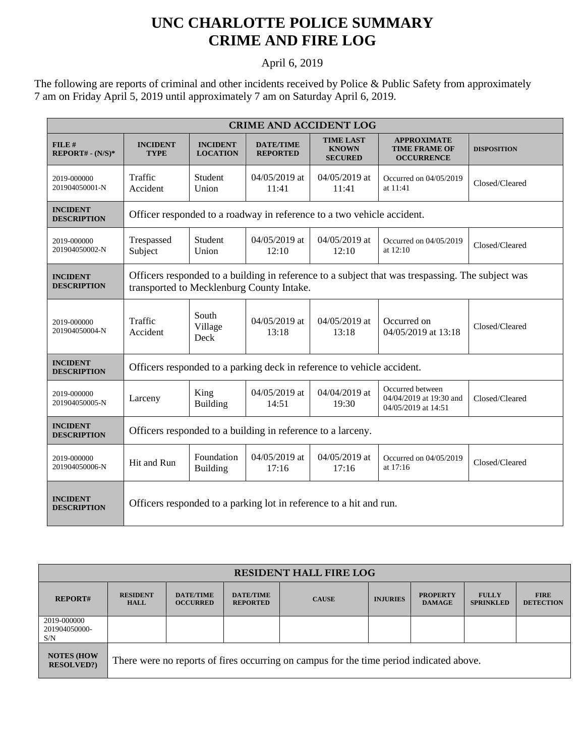## **UNC CHARLOTTE POLICE SUMMARY CRIME AND FIRE LOG**

## April 6, 2019

The following are reports of criminal and other incidents received by Police & Public Safety from approximately 7 am on Friday April 5, 2019 until approximately 7 am on Saturday April 6, 2019.

| <b>CRIME AND ACCIDENT LOG</b>         |                                                                                                                                               |                                    |                                     |                                                    |                                                                    |                    |  |
|---------------------------------------|-----------------------------------------------------------------------------------------------------------------------------------------------|------------------------------------|-------------------------------------|----------------------------------------------------|--------------------------------------------------------------------|--------------------|--|
| FILE#<br>$REPORT# - (N/S)*$           | <b>INCIDENT</b><br><b>TYPE</b>                                                                                                                | <b>INCIDENT</b><br><b>LOCATION</b> | <b>DATE/TIME</b><br><b>REPORTED</b> | <b>TIME LAST</b><br><b>KNOWN</b><br><b>SECURED</b> | <b>APPROXIMATE</b><br><b>TIME FRAME OF</b><br><b>OCCURRENCE</b>    | <b>DISPOSITION</b> |  |
| 2019-000000<br>201904050001-N         | Traffic<br>Accident                                                                                                                           | Student<br>Union                   | 04/05/2019 at<br>11:41              | 04/05/2019 at<br>11:41                             | Occurred on 04/05/2019<br>at 11:41                                 | Closed/Cleared     |  |
| <b>INCIDENT</b><br><b>DESCRIPTION</b> | Officer responded to a roadway in reference to a two vehicle accident.                                                                        |                                    |                                     |                                                    |                                                                    |                    |  |
| 2019-000000<br>201904050002-N         | Trespassed<br>Subject                                                                                                                         | Student<br>Union                   | 04/05/2019 at<br>12:10              | 04/05/2019 at<br>12:10                             | Occurred on 04/05/2019<br>at 12:10                                 | Closed/Cleared     |  |
| <b>INCIDENT</b><br><b>DESCRIPTION</b> | Officers responded to a building in reference to a subject that was trespassing. The subject was<br>transported to Mecklenburg County Intake. |                                    |                                     |                                                    |                                                                    |                    |  |
| 2019-000000<br>201904050004-N         | Traffic<br>Accident                                                                                                                           | South<br>Village<br>Deck           | $04/05/2019$ at<br>13:18            | $04/05/2019$ at<br>13:18                           | Occurred on<br>04/05/2019 at 13:18                                 | Closed/Cleared     |  |
| <b>INCIDENT</b><br><b>DESCRIPTION</b> | Officers responded to a parking deck in reference to vehicle accident.                                                                        |                                    |                                     |                                                    |                                                                    |                    |  |
| 2019-000000<br>201904050005-N         | Larceny                                                                                                                                       | King<br><b>Building</b>            | 04/05/2019 at<br>14:51              | 04/04/2019 at<br>19:30                             | Occurred between<br>04/04/2019 at 19:30 and<br>04/05/2019 at 14:51 | Closed/Cleared     |  |
| <b>INCIDENT</b><br><b>DESCRIPTION</b> | Officers responded to a building in reference to a larceny.                                                                                   |                                    |                                     |                                                    |                                                                    |                    |  |
| 2019-000000<br>201904050006-N         | Hit and Run                                                                                                                                   | Foundation<br><b>Building</b>      | 04/05/2019 at<br>17:16              | 04/05/2019 at<br>17:16                             | Occurred on 04/05/2019<br>at 17:16                                 | Closed/Cleared     |  |
| <b>INCIDENT</b><br><b>DESCRIPTION</b> | Officers responded to a parking lot in reference to a hit and run.                                                                            |                                    |                                     |                                                    |                                                                    |                    |  |

| <b>RESIDENT HALL FIRE LOG</b>         |                                                                                         |                                     |                                     |              |                 |                                  |                                  |                                 |
|---------------------------------------|-----------------------------------------------------------------------------------------|-------------------------------------|-------------------------------------|--------------|-----------------|----------------------------------|----------------------------------|---------------------------------|
| <b>REPORT#</b>                        | <b>RESIDENT</b><br><b>HALL</b>                                                          | <b>DATE/TIME</b><br><b>OCCURRED</b> | <b>DATE/TIME</b><br><b>REPORTED</b> | <b>CAUSE</b> | <b>INJURIES</b> | <b>PROPERTY</b><br><b>DAMAGE</b> | <b>FULLY</b><br><b>SPRINKLED</b> | <b>FIRE</b><br><b>DETECTION</b> |
| 2019-000000<br>201904050000-<br>S/N   |                                                                                         |                                     |                                     |              |                 |                                  |                                  |                                 |
| <b>NOTES (HOW</b><br><b>RESOLVED?</b> | There were no reports of fires occurring on campus for the time period indicated above. |                                     |                                     |              |                 |                                  |                                  |                                 |